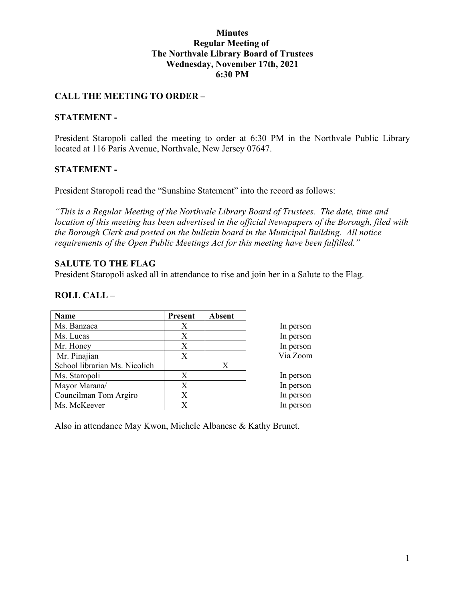#### **Minutes Regular Meeting of The Northvale Library Board of Trustees Wednesday, November 17th, 2021 6:30 PM**

### **CALL THE MEETING TO ORDER –**

#### **STATEMENT -**

President Staropoli called the meeting to order at 6:30 PM in the Northvale Public Library located at 116 Paris Avenue, Northvale, New Jersey 07647.

### **STATEMENT -**

President Staropoli read the "Sunshine Statement" into the record as follows:

*"This is a Regular Meeting of the Northvale Library Board of Trustees. The date, time and location of this meeting has been advertised in the official Newspapers of the Borough, filed with the Borough Clerk and posted on the bulletin board in the Municipal Building. All notice requirements of the Open Public Meetings Act for this meeting have been fulfilled."* 

#### **SALUTE TO THE FLAG**

President Staropoli asked all in attendance to rise and join her in a Salute to the Flag.

#### **ROLL CALL –**

| Name                          | <b>Present</b> | <b>Absent</b> |
|-------------------------------|----------------|---------------|
| Ms. Banzaca                   | Χ              |               |
| Ms. Lucas                     | X              |               |
| Mr. Honey                     | Х              |               |
| Mr. Pinajian                  | X              |               |
| School librarian Ms. Nicolich |                | X             |
| Ms. Staropoli                 | X              |               |
| Mayor Marana/                 | Х              |               |
| Councilman Tom Argiro         | Χ              |               |
| Ms. McKeever                  | Х              |               |

Also in attendance May Kwon, Michele Albanese & Kathy Brunet.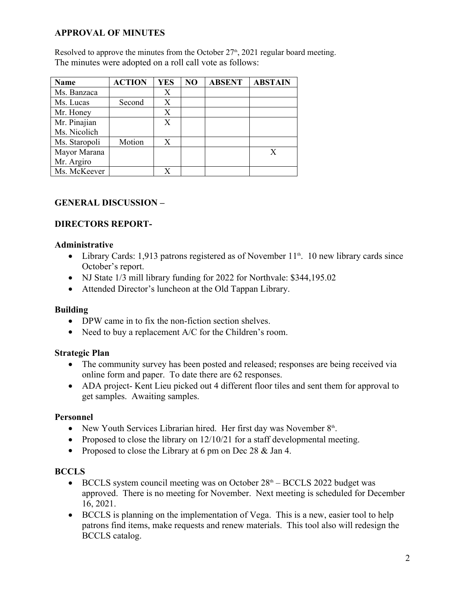# **APPROVAL OF MINUTES**

Resolved to approve the minutes from the October  $27<sup>th</sup>$ , 2021 regular board meeting. The minutes were adopted on a roll call vote as follows:

| Name          | <b>ACTION</b> | <b>YES</b> | NO | <b>ABSENT</b> | <b>ABSTAIN</b> |
|---------------|---------------|------------|----|---------------|----------------|
| Ms. Banzaca   |               | Х          |    |               |                |
| Ms. Lucas     | Second        | X          |    |               |                |
| Mr. Honey     |               | X          |    |               |                |
| Mr. Pinajian  |               | X          |    |               |                |
| Ms. Nicolich  |               |            |    |               |                |
| Ms. Staropoli | Motion        | Χ          |    |               |                |
| Mayor Marana  |               |            |    |               | X              |
| Mr. Argiro    |               |            |    |               |                |
| Ms. McKeever  |               | X          |    |               |                |

# **GENERAL DISCUSSION –**

## **DIRECTORS REPORT-**

### **Administrative**

- Library Cards: 1,913 patrons registered as of November  $11<sup>th</sup>$ . 10 new library cards since October's report.
- NJ State 1/3 mill library funding for 2022 for Northvale: \$344,195.02
- Attended Director's luncheon at the Old Tappan Library.

### **Building**

- DPW came in to fix the non-fiction section shelves.
- Need to buy a replacement A/C for the Children's room.

### **Strategic Plan**

- The community survey has been posted and released; responses are being received via online form and paper. To date there are 62 responses.
- ADA project- Kent Lieu picked out 4 different floor tiles and sent them for approval to get samples. Awaiting samples.

### **Personnel**

- New Youth Services Librarian hired. Her first day was November  $8<sup>th</sup>$ . .
- Proposed to close the library on  $12/10/21$  for a staff developmental meeting.
- Proposed to close the Library at 6 pm on Dec 28  $&$  Jan 4.

### **BCCLS**

- $\bullet$  BCCLS system council meeting was on October  $28<sup>th</sup> BCCLS$  2022 budget was approved. There is no meeting for November. Next meeting is scheduled for December 16, 2021.
- BCCLS is planning on the implementation of Vega. This is a new, easier tool to help patrons find items, make requests and renew materials. This tool also will redesign the BCCLS catalog.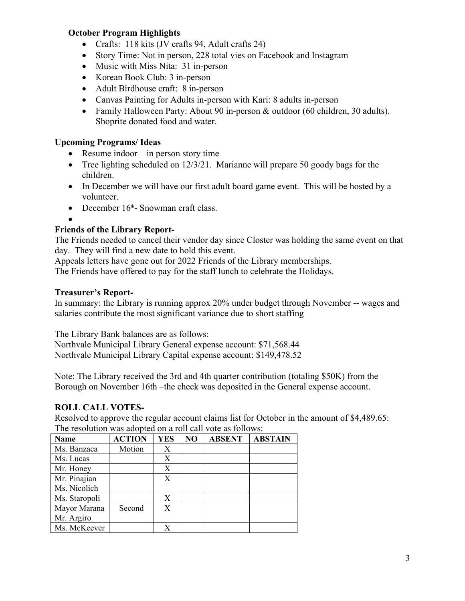## **October Program Highlights**

- Crafts: 118 kits (JV crafts 94, Adult crafts 24)
- Story Time: Not in person, 228 total vies on Facebook and Instagram
- Music with Miss Nita: 31 in-person
- Korean Book Club: 3 in-person
- Adult Birdhouse craft: 8 in-person
- Canvas Painting for Adults in-person with Kari: 8 adults in-person
- Family Halloween Party: About 90 in-person & outdoor (60 children, 30 adults). Shoprite donated food and water.

# **Upcoming Programs/ Ideas**

- Resume indoor  $-$  in person story time
- Tree lighting scheduled on 12/3/21. Marianne will prepare 50 goody bags for the children.
- In December we will have our first adult board game event. This will be hosted by a volunteer.
- December  $16<sup>th</sup>$  Snowman craft class.

 $\bullet$  and  $\bullet$  and  $\bullet$  and  $\bullet$  and  $\bullet$ 

# **Friends of the Library Report-**

The Friends needed to cancel their vendor day since Closter was holding the same event on that day. They will find a new date to hold this event.

Appeals letters have gone out for 2022 Friends of the Library memberships. The Friends have offered to pay for the staff lunch to celebrate the Holidays.

### **Treasurer's Report-**

In summary: the Library is running approx 20% under budget through November -- wages and salaries contribute the most significant variance due to short staffing

The Library Bank balances are as follows:

Northvale Municipal Library General expense account: \$71,568.44 Northvale Municipal Library Capital expense account: \$149,478.52

Note: The Library received the 3rd and 4th quarter contribution (totaling \$50K) from the Borough on November 16th –the check was deposited in the General expense account.

### **ROLL CALL VOTES-**

Resolved to approve the regular account claims list for October in the amount of \$4,489.65: The resolution was adopted on a roll call vote as follows:

| Name          | <b>ACTION</b> | <b>YES</b> | NO | <b>ABSENT</b> | <b>ABSTAIN</b> |
|---------------|---------------|------------|----|---------------|----------------|
| Ms. Banzaca   | Motion        | Х          |    |               |                |
| Ms. Lucas     |               | X          |    |               |                |
| Mr. Honey     |               | X          |    |               |                |
| Mr. Pinajian  |               | X          |    |               |                |
| Ms. Nicolich  |               |            |    |               |                |
| Ms. Staropoli |               | X          |    |               |                |
| Mayor Marana  | Second        | X          |    |               |                |
| Mr. Argiro    |               |            |    |               |                |
| Ms. McKeever  |               | X          |    |               |                |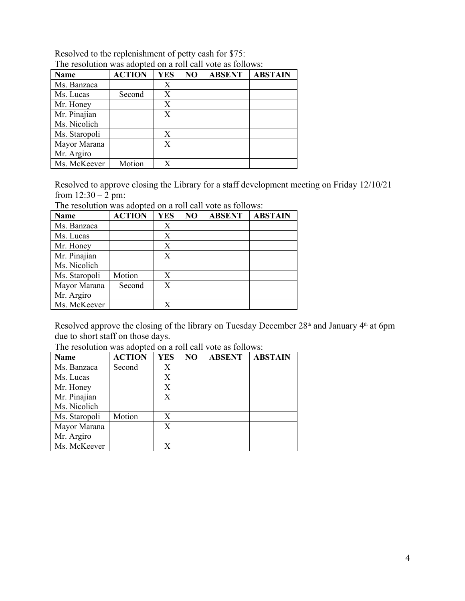| <b>Name</b>   | <b>ACTION</b> | <b>YES</b> | NO | <b>ABSENT</b> | <b>ABSTAIN</b> |
|---------------|---------------|------------|----|---------------|----------------|
| Ms. Banzaca   |               | Х          |    |               |                |
| Ms. Lucas     | Second        | Х          |    |               |                |
| Mr. Honey     |               | X          |    |               |                |
| Mr. Pinajian  |               | Χ          |    |               |                |
| Ms. Nicolich  |               |            |    |               |                |
| Ms. Staropoli |               | Х          |    |               |                |
| Mayor Marana  |               | Χ          |    |               |                |
| Mr. Argiro    |               |            |    |               |                |
| Ms. McKeever  | Motion        | X          |    |               |                |

Resolved to the replenishment of petty cash for \$75: The resolution was adopted on a roll call vote as follows:

Resolved to approve closing the Library for a staff development meeting on Friday 12/10/21 from  $12:30 - 2$  pm:

The resolution was adopted on a roll call vote as follows:

| Name          | <b>ACTION</b> | <b>YES</b> | NO | <b>ABSENT</b> | <b>ABSTAIN</b> |
|---------------|---------------|------------|----|---------------|----------------|
| Ms. Banzaca   |               | Х          |    |               |                |
| Ms. Lucas     |               | Х          |    |               |                |
| Mr. Honey     |               | X          |    |               |                |
| Mr. Pinajian  |               | X          |    |               |                |
| Ms. Nicolich  |               |            |    |               |                |
| Ms. Staropoli | Motion        | X          |    |               |                |
| Mayor Marana  | Second        | Χ          |    |               |                |
| Mr. Argiro    |               |            |    |               |                |
| Ms. McKeever  |               | X          |    |               |                |

Resolved approve the closing of the library on Tuesday December 28<sup>th</sup> and January 4<sup>th</sup> at 6pm due to short staff on those days.

| The resolution was adopted on a foll early follows. |               |            |    |               |                |
|-----------------------------------------------------|---------------|------------|----|---------------|----------------|
| Name                                                | <b>ACTION</b> | <b>YES</b> | NO | <b>ABSENT</b> | <b>ABSTAIN</b> |
| Ms. Banzaca                                         | Second        | Х          |    |               |                |
| Ms. Lucas                                           |               | Х          |    |               |                |
| Mr. Honey                                           |               | Х          |    |               |                |
| Mr. Pinajian                                        |               | Χ          |    |               |                |
| Ms. Nicolich                                        |               |            |    |               |                |
| Ms. Staropoli                                       | Motion        | Χ          |    |               |                |
| Mayor Marana                                        |               | Χ          |    |               |                |
| Mr. Argiro                                          |               |            |    |               |                |
| Ms. McKeever                                        |               | X          |    |               |                |

The resolution was adopted on a roll call vote as follows: